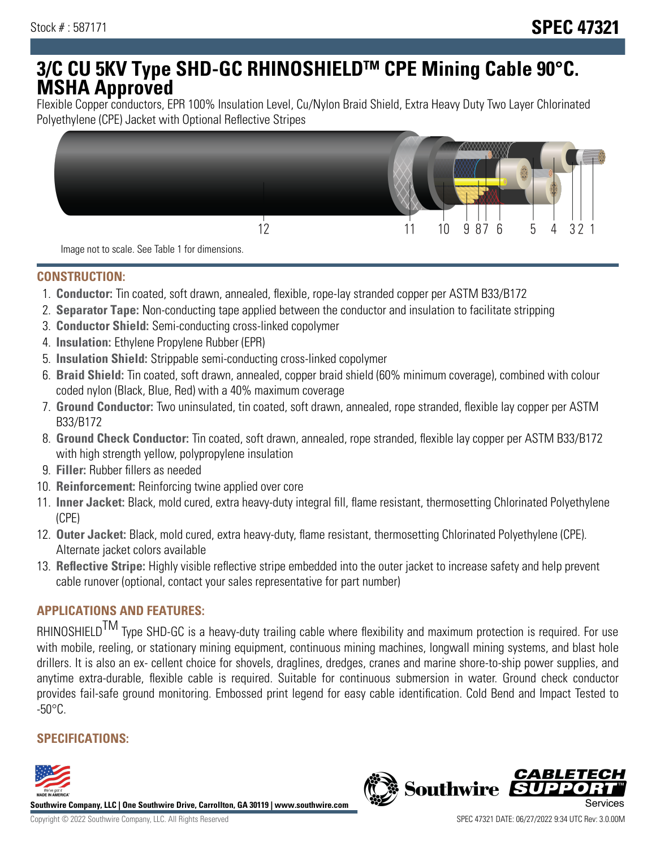# **3/C CU 5KV Type SHD-GC RHINOSHIELDTM CPE Mining Cable 90°C. MSHA Approved**

Flexible Copper conductors, EPR 100% Insulation Level, Cu/Nylon Braid Shield, Extra Heavy Duty Two Layer Chlorinated Polyethylene (CPE) Jacket with Optional Reflective Stripes



Image not to scale. See Table 1 for dimensions.

### **CONSTRUCTION:**

- 1. **Conductor:** Tin coated, soft drawn, annealed, flexible, rope-lay stranded copper per ASTM B33/B172
- 2. **Separator Tape:** Non-conducting tape applied between the conductor and insulation to facilitate stripping
- 3. **Conductor Shield:** Semi-conducting cross-linked copolymer
- 4. **Insulation:** Ethylene Propylene Rubber (EPR)
- 5. **Insulation Shield:** Strippable semi-conducting cross-linked copolymer
- 6. **Braid Shield:** Tin coated, soft drawn, annealed, copper braid shield (60% minimum coverage), combined with colour coded nylon (Black, Blue, Red) with a 40% maximum coverage
- 7. **Ground Conductor:** Two uninsulated, tin coated, soft drawn, annealed, rope stranded, flexible lay copper per ASTM B33/B172
- 8. **Ground Check Conductor:** Tin coated, soft drawn, annealed, rope stranded, flexible lay copper per ASTM B33/B172 with high strength yellow, polypropylene insulation
- 9. **Filler:** Rubber fillers as needed
- 10. **Reinforcement:** Reinforcing twine applied over core
- 11. **Inner Jacket:** Black, mold cured, extra heavy-duty integral fill, flame resistant, thermosetting Chlorinated Polyethylene (CPE)
- 12. **Outer Jacket:** Black, mold cured, extra heavy-duty, flame resistant, thermosetting Chlorinated Polyethylene (CPE). Alternate jacket colors available
- 13. **Reflective Stripe:** Highly visible reflective stripe embedded into the outer jacket to increase safety and help prevent cable runover (optional, contact your sales representative for part number)

# **APPLICATIONS AND FEATURES:**

RHINOSHIELD<sup>TM</sup> Type SHD-GC is a heavy-duty trailing cable where flexibility and maximum protection is required. For use with mobile, reeling, or stationary mining equipment, continuous mining machines, longwall mining systems, and blast hole drillers. It is also an ex- cellent choice for shovels, draglines, dredges, cranes and marine shore-to-ship power supplies, and anytime extra-durable, flexible cable is required. Suitable for continuous submersion in water. Ground check conductor provides fail-safe ground monitoring. Embossed print legend for easy cable identification. Cold Bend and Impact Tested to  $-50^{\circ}$ C.

## **SPECIFICATIONS:**



**Southwire Company, LLC | One Southwire Drive, Carrollton, GA 30119 | www.southwire.com**

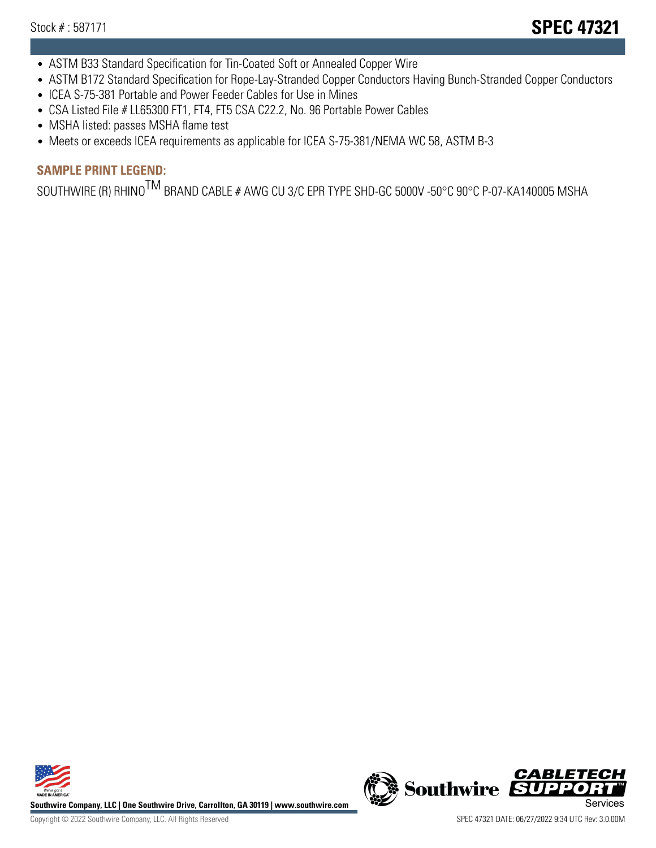- ASTM B33 Standard Specification for Tin-Coated Soft or Annealed Copper Wire
- ASTM B172 Standard Specification for Rope-Lay-Stranded Copper Conductors Having Bunch-Stranded Copper Conductors
- ICEA S-75-381 Portable and Power Feeder Cables for Use in Mines
- CSA Listed File # LL65300 FT1, FT4, FT5 CSA C22.2, No. 96 Portable Power Cables
- MSHA listed: passes MSHA flame test
- Meets or exceeds ICEA requirements as applicable for ICEA S-75-381/NEMA WC 58, ASTM B-3

# **SAMPLE PRINT LEGEND:**

SOUTHWIRE (R) RHINO<sup>TM</sup> BRAND CABLE # AWG CU 3/C EPR TYPE SHD-GC 5000V -50°C 90°C P-07-KA140005 MSHA